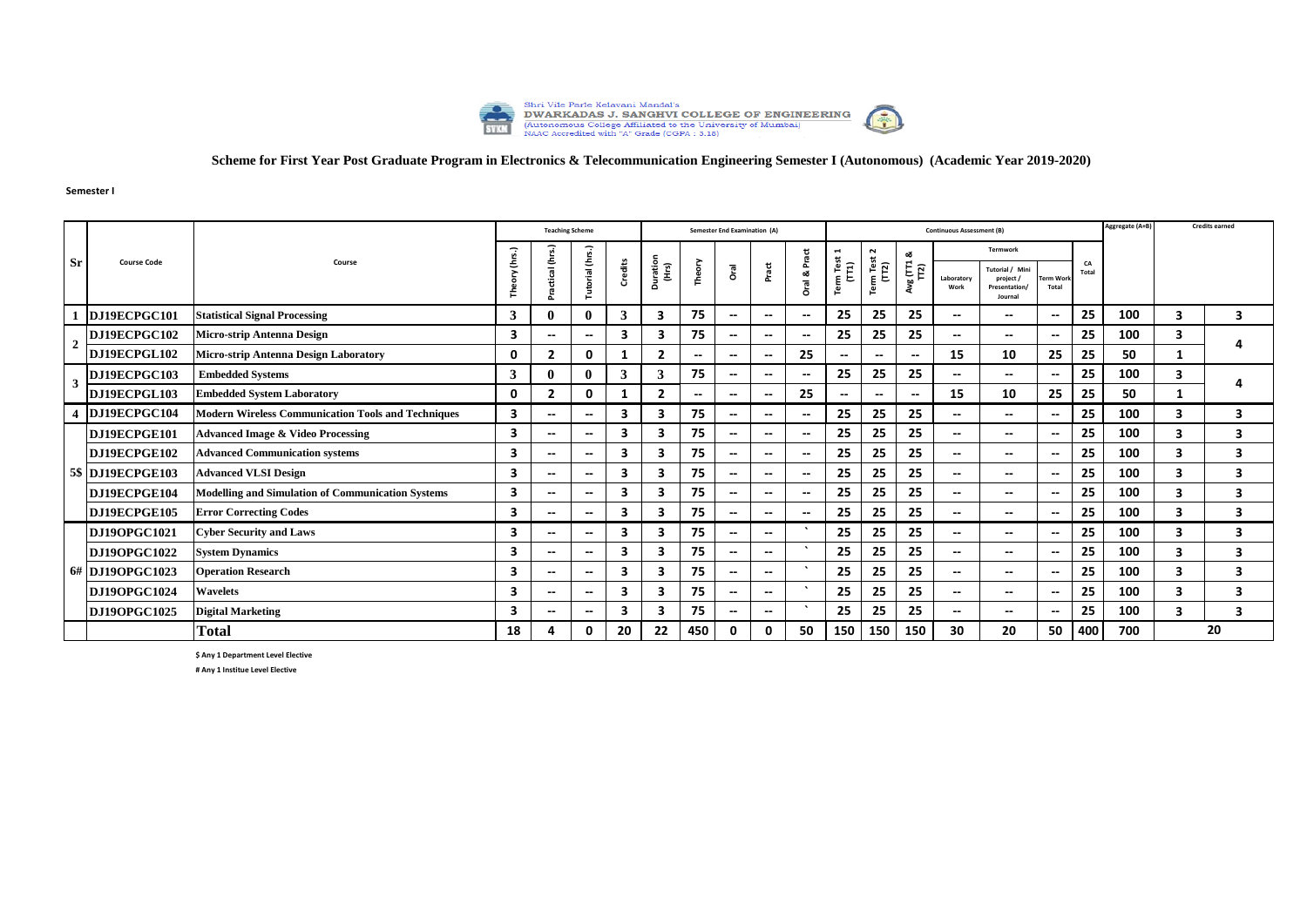

## **Scheme for First Year Post Graduate Program in Electronics & Telecommunication Engineering Semester I (Autonomous) (Academic Year 2019-2020)**

**Semester I**

|                         | <b>Course Code</b>  |                                                           |                    | <b>Teaching Scheme</b>   |                          |                                                                                                                                                                                              |                                                          |                          | <b>Semester End Examination (A)</b> |                          |                          |                          |                          |                          | <b>Continuous Assessment (B)</b> |                          |                          |     | Aggregate (A+B) |   | <b>Credits earned</b> |
|-------------------------|---------------------|-----------------------------------------------------------|--------------------|--------------------------|--------------------------|----------------------------------------------------------------------------------------------------------------------------------------------------------------------------------------------|----------------------------------------------------------|--------------------------|-------------------------------------|--------------------------|--------------------------|--------------------------|--------------------------|--------------------------|----------------------------------|--------------------------|--------------------------|-----|-----------------|---|-----------------------|
|                         |                     | Course                                                    | (hrs.)             |                          |                          |                                                                                                                                                                                              |                                                          |                          |                                     |                          | Pract                    | $\blacksquare$           | $\sim$                   | ಹ                        | <b>Termwork</b>                  |                          |                          |     |                 |   |                       |
| <b>Sr</b>               |                     |                                                           | $\tilde{\epsilon}$ | actical (hrs.)           | Tutorial (hrs.)          | Term Test<br>m Test<br>(TT1)<br>Duration<br>(Hrs)<br>Credits<br>Theory<br>$\frac{1}{\pi}$<br>Pract<br>$\begin{bmatrix} 2 \end{bmatrix}$<br>Gra<br>oð.<br>Term<br>Laboratory<br>oral.<br>Work | Tutorial / Mini<br>project /<br>Presentation/<br>Journal | Term Worl<br>Total       | CA<br>Total                         |                          |                          |                          |                          |                          |                                  |                          |                          |     |                 |   |                       |
|                         | DJ19ECPGC101        | <b>Statistical Signal Processing</b>                      | 3                  |                          | $\mathbf 0$              | 3                                                                                                                                                                                            | 3                                                        | 75                       | $\overline{\phantom{a}}$            | $\overline{\phantom{a}}$ | $-$                      | 25                       | 25                       | 25                       | --                               | $\overline{\phantom{a}}$ | $\overline{\phantom{a}}$ | 25  | 100             | 3 | 3                     |
| $\overline{2}$          | DJ19ECPGC102        | <b>Micro-strip Antenna Design</b>                         | 3                  | $\overline{\phantom{a}}$ | $\overline{\phantom{a}}$ | 3                                                                                                                                                                                            | 3                                                        | 75                       | $\overline{\phantom{a}}$            | $\overline{\phantom{a}}$ | $\overline{\phantom{a}}$ | 25                       | 25                       | 25                       | $\overline{\phantom{a}}$         | --                       | $\overline{\phantom{a}}$ | 25  | 100             | 3 |                       |
|                         | DJ19ECPGL102        | <b>Micro-strip Antenna Design Laboratory</b>              | 0                  | $\overline{2}$           | 0                        |                                                                                                                                                                                              | -2                                                       | $\overline{\phantom{a}}$ | $\overline{\phantom{a}}$            | $\overline{\phantom{a}}$ | 25                       | $\overline{\phantom{a}}$ | $\overline{\phantom{a}}$ | $\overline{\phantom{a}}$ | 15                               | 10                       | 25                       | 25  | 50              |   |                       |
| 3                       | DJ19ECPGC103        | <b>Embedded Systems</b>                                   | 3                  |                          | -0                       | 3                                                                                                                                                                                            | 3                                                        | 75                       | $\overline{\phantom{a}}$            | $\hspace{0.05cm} \ldots$ | $-$                      | 25                       | 25                       | 25                       | $- -$                            | $\overline{\phantom{a}}$ | $\overline{\phantom{a}}$ | 25  | 100             | 3 |                       |
|                         | DJ19ECPGL103        | <b>Embedded System Laboratory</b>                         | 0                  | $\overline{2}$           | $\mathbf{0}$             |                                                                                                                                                                                              | $\overline{2}$                                           | $\overline{\phantom{a}}$ | $\overline{\phantom{a}}$            | $\overline{\phantom{a}}$ | 25                       | $\overline{\phantom{a}}$ | $\overline{\phantom{a}}$ | $\overline{\phantom{a}}$ | 15                               | 10                       | 25                       | 25  | 50              | 1 |                       |
| $\overline{\mathbf{4}}$ | DJ19ECPGC104        | <b>Modern Wireless Communication Tools and Techniques</b> | 3                  | $\overline{\phantom{a}}$ | $\overline{\phantom{a}}$ | 3                                                                                                                                                                                            | 3                                                        | 75                       | $\overline{\phantom{a}}$            | $\overline{\phantom{a}}$ | $\overline{\phantom{a}}$ | 25                       | 25                       | 25                       | --                               | --                       | $\overline{\phantom{a}}$ | 25  | 100             | 3 | 3                     |
|                         | DJ19ECPGE101        | <b>Advanced Image &amp; Video Processing</b>              | 3                  | $\overline{\phantom{a}}$ | $\hspace{0.05cm} \ldots$ | 3                                                                                                                                                                                            | 3                                                        | 75                       | $\overline{\phantom{a}}$            | $\overline{\phantom{a}}$ | $\overline{\phantom{a}}$ | 25                       | 25                       | 25                       | $\overline{\phantom{a}}$         | $\overline{\phantom{a}}$ | $\overline{\phantom{a}}$ | 25  | 100             | 3 | 3                     |
|                         | DJ19ECPGE102        | <b>Advanced Communication systems</b>                     | 3                  | $\overline{\phantom{a}}$ | $\overline{\phantom{a}}$ | 3                                                                                                                                                                                            | -3                                                       | 75                       | $\overline{\phantom{a}}$            | $\overline{\phantom{a}}$ | $- -$                    | 25                       | 25                       | 25                       | --                               | $\overline{\phantom{a}}$ | $\overline{\phantom{a}}$ | 25  | 100             | 3 | 3                     |
| -5\$                    | DJ19ECPGE103        | <b>Advanced VLSI Design</b>                               | 3                  | $\overline{\phantom{a}}$ | $\overline{\phantom{a}}$ | 3                                                                                                                                                                                            | 3                                                        | 75                       | $\overline{\phantom{a}}$            | $\overline{\phantom{a}}$ | $\overline{\phantom{a}}$ | 25                       | 25                       | 25                       | --                               | $\overline{\phantom{a}}$ | $\overline{\phantom{a}}$ | 25  | 100             | 3 | 3                     |
|                         | DJ19ECPGE104        | <b>Modelling and Simulation of Communication Systems</b>  | 3                  | $-$                      | $\overline{\phantom{a}}$ | 3                                                                                                                                                                                            | 3                                                        | 75                       | $\overline{\phantom{a}}$            | $\overline{\phantom{a}}$ | $\overline{\phantom{a}}$ | 25                       | 25                       | 25                       | $\overline{\phantom{a}}$         | $\overline{\phantom{a}}$ | $\overline{\phantom{a}}$ | 25  | 100             | 3 | 3                     |
|                         | DJ19ECPGE105        | <b>Error Correcting Codes</b>                             | 3                  | $\overline{\phantom{a}}$ | $\overline{\phantom{a}}$ | 3                                                                                                                                                                                            | 3                                                        | 75                       | $\overline{\phantom{a}}$            | $\overline{\phantom{a}}$ | $\overline{\phantom{a}}$ | 25                       | 25                       | 25                       | --                               | --                       | $\overline{\phantom{a}}$ | 25  | 100             | 3 | 3                     |
|                         | <b>DJ19OPGC1021</b> | <b>Cyber Security and Laws</b>                            | 3                  | $\overline{\phantom{a}}$ | $\overline{\phantom{a}}$ | 3                                                                                                                                                                                            | 3                                                        | 75                       | $\overline{\phantom{a}}$            | $\overline{\phantom{a}}$ |                          | 25                       | 25                       | 25                       | --                               | $\overline{\phantom{a}}$ | $\overline{\phantom{a}}$ | 25  | 100             | 3 | 3                     |
|                         | <b>DJ19OPGC1022</b> | <b>System Dynamics</b>                                    | 3                  | $-$                      | $\overline{\phantom{a}}$ | 3                                                                                                                                                                                            | 3                                                        | 75                       | $\overline{\phantom{a}}$            | $\overline{\phantom{a}}$ |                          | 25                       | 25                       | 25                       | $\overline{\phantom{a}}$         | $\overline{\phantom{a}}$ | $\overline{\phantom{a}}$ | 25  | 100             | 3 | 3                     |
|                         | 6# DJ19OPGC1023     | <b>Operation Research</b>                                 | 3                  | $-$                      | --                       | 3                                                                                                                                                                                            | 3                                                        | 75                       | $\overline{\phantom{a}}$            | $\overline{\phantom{a}}$ | $\cdot$                  | 25                       | 25                       | 25                       | --                               | $\overline{\phantom{a}}$ | $\overline{\phantom{a}}$ | 25  | 100             | 3 | 3                     |
|                         | <b>DJ19OPGC1024</b> | <b>Wavelets</b>                                           | 3                  | $\overline{\phantom{a}}$ | $\overline{\phantom{a}}$ | 3                                                                                                                                                                                            | 3                                                        | 75                       | $\overline{\phantom{a}}$            | $\overline{\phantom{a}}$ |                          | 25                       | 25                       | 25                       | $\overline{\phantom{a}}$         | --                       | $\overline{\phantom{a}}$ | 25  | 100             | 3 | 3                     |
|                         | <b>DJ19OPGC1025</b> | <b>Digital Marketing</b>                                  | 3                  | $\overline{\phantom{a}}$ | --                       | З                                                                                                                                                                                            | 3                                                        | 75                       | $\overline{\phantom{a}}$            | $\overline{\phantom{a}}$ |                          | 25                       | 25                       | 25                       | --                               | $\overline{\phantom{a}}$ | $\overline{\phantom{a}}$ | 25  | 100             | 3 | 3                     |
|                         |                     | <b>Total</b>                                              | 18                 | 4                        | 0                        | 20                                                                                                                                                                                           | 22                                                       | 450                      | 0                                   | 0                        | 50                       | 150                      | 150                      | 150                      | 30                               | 20                       | 50                       | 400 | 700             |   | 20                    |

**\$ Any 1 Department Level Elective**

**# Any 1 Institue Level Elective**